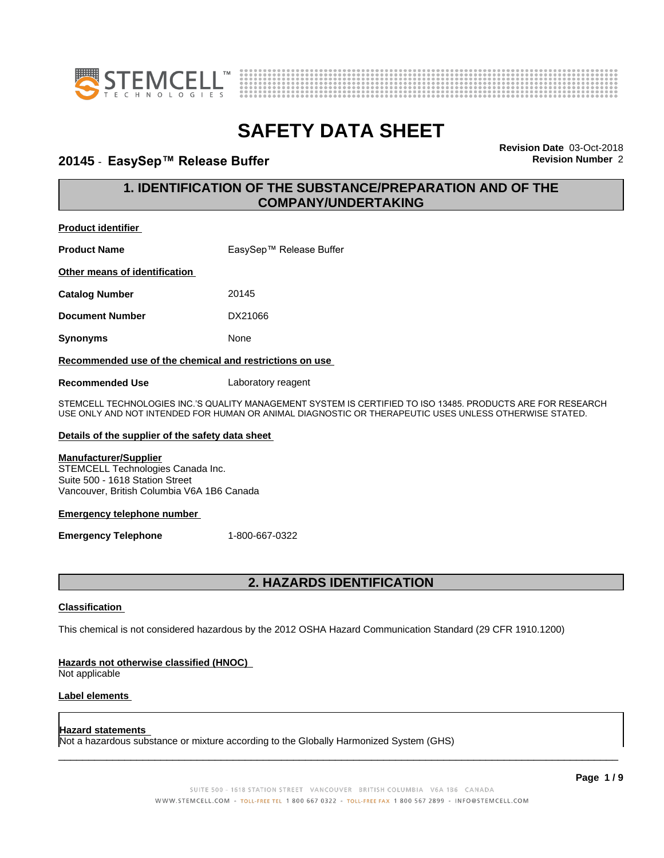



#### **20145 ⋅ EasySep™ Release Buffer Revision Revision** Number 2

**Revision Date** 03-Oct-2018

#### **1. IDENTIFICATION OF THE SUBSTANCE/PREPARATION AND OF THE COMPANY/UNDERTAKING**

#### **Product identifier**

**Product Name** EasySep™ Release Buffer

**Other means of identification**

**Catalog Number** 20145

**Document Number** DX21066

**Synonyms** None

#### **Recommended use of the chemical and restrictions on use**

**Recommended Use** Laboratory reagent

STEMCELL TECHNOLOGIES INC.'S QUALITY MANAGEMENT SYSTEM IS CERTIFIED TO ISO 13485. PRODUCTS ARE FOR RESEARCH USE ONLY AND NOT INTENDED FOR HUMAN OR ANIMAL DIAGNOSTIC OR THERAPEUTIC USES UNLESS OTHERWISE STATED.

#### **Details of the supplier of the safety data sheet**

#### **Manufacturer/Supplier**

STEMCELL Technologies Canada Inc. Suite 500 - 1618 Station Street Vancouver, British Columbia V6A 1B6 Canada

#### **Emergency telephone number**

**Emergency Telephone** 1-800-667-0322

#### **2. HAZARDS IDENTIFICATION**

#### **Classification**

This chemical is not considered hazardous by the 2012 OSHA Hazard Communication Standard (29 CFR 1910.1200)

#### **Hazards not otherwise classified (HNOC)**

Not applicable

#### **Label elements**

#### **Hazard statements**

Not a hazardous substance or mixture according to the Globally Harmonized System (GHS)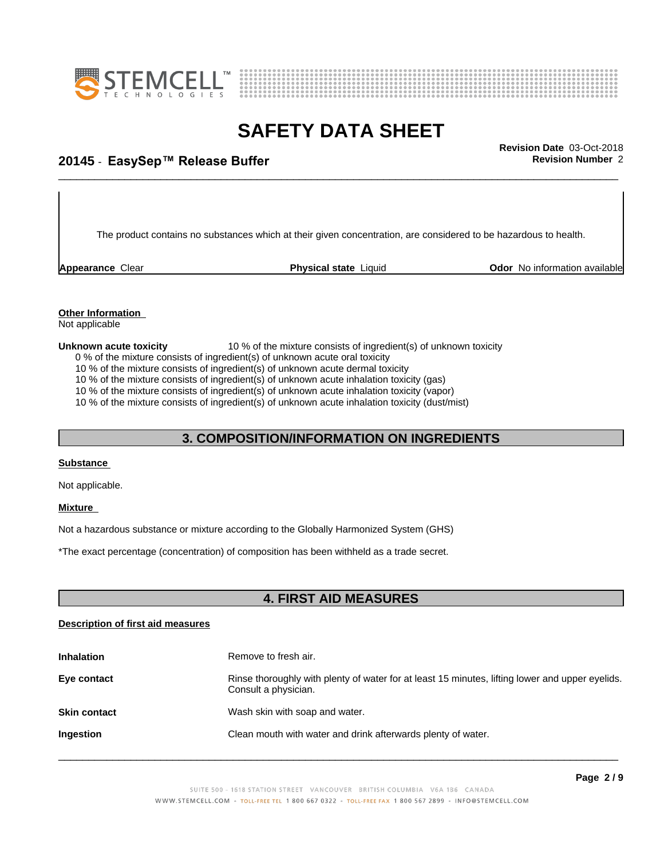



# \_\_\_\_\_\_\_\_\_\_\_\_\_\_\_\_\_\_\_\_\_\_\_\_\_\_\_\_\_\_\_\_\_\_\_\_\_\_\_\_\_\_\_\_\_\_\_\_\_\_\_\_\_\_\_\_\_\_\_\_\_\_\_\_\_\_\_\_\_\_\_\_\_\_\_\_\_\_\_\_\_\_\_\_\_\_\_\_\_\_\_\_\_ **Revision Date** 03-Oct-2018 **20145 ⋅ EasySep™ Release Buffer Review Accord Propose Revision Number** 2

The product contains no substances which at their given concentration, are considered to be hazardous to health.

**Appearance** Clear **Physical state** Liquid **Odor No information available Appearance** Clear

### **Other Information**

Not applicable

#### **Unknown acute toxicity** 10 % of the mixture consists of ingredient(s) of unknown toxicity

0 % of the mixture consists of ingredient(s) of unknown acute oral toxicity

10 % of the mixture consists of ingredient(s) of unknown acute dermal toxicity

10 % of the mixture consists of ingredient(s) of unknown acute inhalation toxicity (gas)

10 % of the mixture consists of ingredient(s) of unknown acute inhalation toxicity (vapor)

10 % of the mixture consists of ingredient(s) of unknown acute inhalation toxicity (dust/mist)

#### **3. COMPOSITION/INFORMATION ON INGREDIENTS**

#### **Substance**

Not applicable.

#### **Mixture**

Not a hazardous substance or mixture according to the Globally Harmonized System (GHS)

\*The exact percentage (concentration) ofcomposition has been withheld as a trade secret.

#### **4. FIRST AID MEASURES**

#### **Description of first aid measures**

| <b>Inhalation</b>   | Remove to fresh air.                                                                                                    |  |
|---------------------|-------------------------------------------------------------------------------------------------------------------------|--|
| Eye contact         | Rinse thoroughly with plenty of water for at least 15 minutes, lifting lower and upper eyelids.<br>Consult a physician. |  |
| <b>Skin contact</b> | Wash skin with soap and water.                                                                                          |  |
| Ingestion           | Clean mouth with water and drink afterwards plenty of water.                                                            |  |
|                     |                                                                                                                         |  |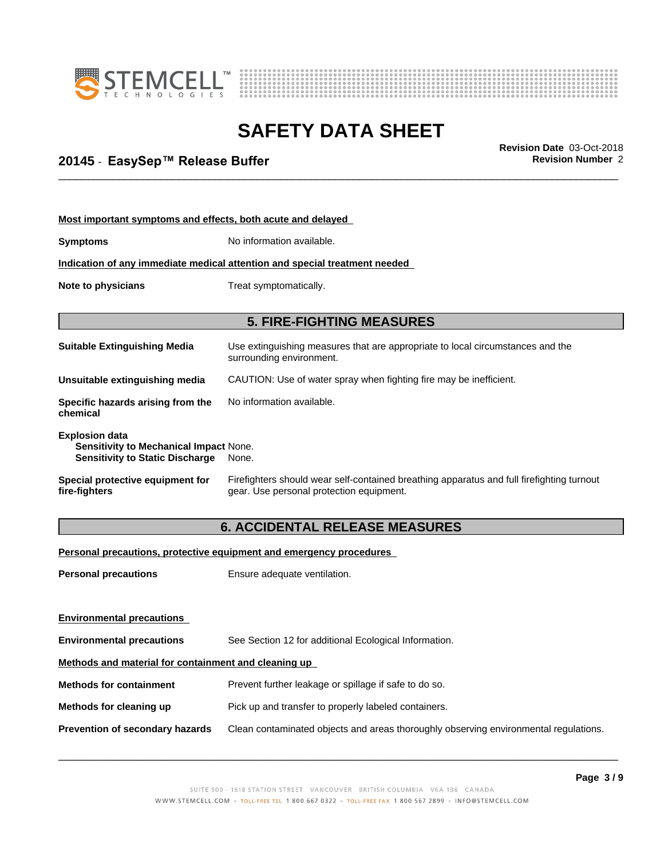



# \_\_\_\_\_\_\_\_\_\_\_\_\_\_\_\_\_\_\_\_\_\_\_\_\_\_\_\_\_\_\_\_\_\_\_\_\_\_\_\_\_\_\_\_\_\_\_\_\_\_\_\_\_\_\_\_\_\_\_\_\_\_\_\_\_\_\_\_\_\_\_\_\_\_\_\_\_\_\_\_\_\_\_\_\_\_\_\_\_\_\_\_\_ **Revision Date** 03-Oct-2018 **20145 ⋅ EasySep™ Release Buffer Review Accord Propose Revision Number** 2

| Most important symptoms and effects, both acute and delayed                                                      |                                                                                                                                       |  |
|------------------------------------------------------------------------------------------------------------------|---------------------------------------------------------------------------------------------------------------------------------------|--|
| <b>Symptoms</b>                                                                                                  | No information available.                                                                                                             |  |
| Indication of any immediate medical attention and special treatment needed                                       |                                                                                                                                       |  |
| Note to physicians                                                                                               | Treat symptomatically.                                                                                                                |  |
|                                                                                                                  | <b>5. FIRE-FIGHTING MEASURES</b>                                                                                                      |  |
| <b>Suitable Extinguishing Media</b>                                                                              | Use extinguishing measures that are appropriate to local circumstances and the<br>surrounding environment.                            |  |
| Unsuitable extinguishing media                                                                                   | CAUTION: Use of water spray when fighting fire may be inefficient.                                                                    |  |
| Specific hazards arising from the<br>chemical                                                                    | No information available.                                                                                                             |  |
| <b>Explosion data</b><br><b>Sensitivity to Mechanical Impact None.</b><br><b>Sensitivity to Static Discharge</b> | None.                                                                                                                                 |  |
| Special protective equipment for<br>fire-fighters                                                                | Firefighters should wear self-contained breathing apparatus and full firefighting turnout<br>gear. Use personal protection equipment. |  |
|                                                                                                                  | <b>6. ACCIDENTAL RELEASE MEASURES</b>                                                                                                 |  |
|                                                                                                                  | Personal precautions, protective equipment and emergency procedures                                                                   |  |

**Personal precautions** Ensure adequate ventilation.

**Environmental precautions Environmental precautions** See Section 12 for additional Ecological Information. **Methods and material for containment and cleaning up Methods for containment** Prevent further leakage or spillage if safe to do so. **Methods for cleaning up** Pick up and transfer to properly labeled containers. **Prevention of secondary hazards** Clean contaminated objects and areas thoroughly observing environmental regulations.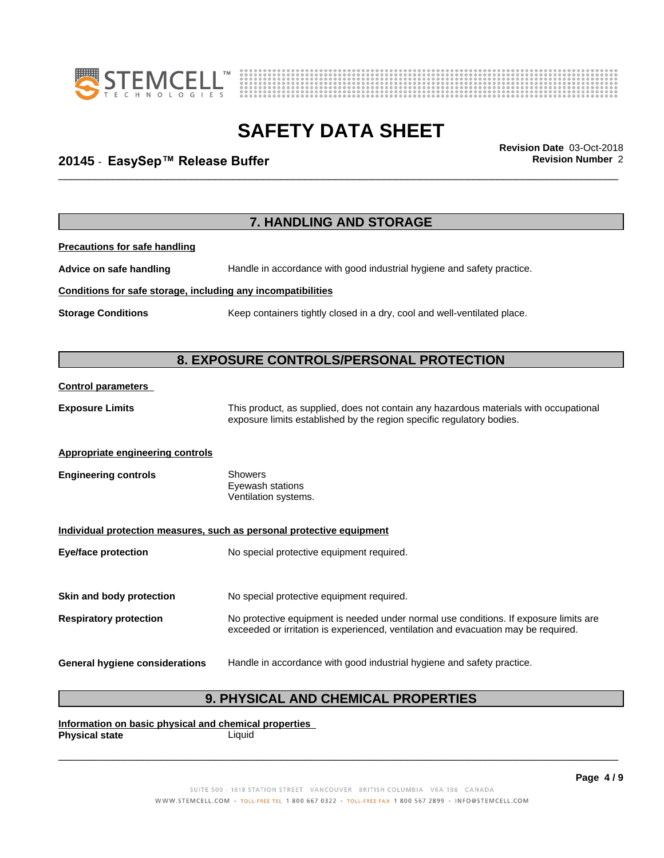



# \_\_\_\_\_\_\_\_\_\_\_\_\_\_\_\_\_\_\_\_\_\_\_\_\_\_\_\_\_\_\_\_\_\_\_\_\_\_\_\_\_\_\_\_\_\_\_\_\_\_\_\_\_\_\_\_\_\_\_\_\_\_\_\_\_\_\_\_\_\_\_\_\_\_\_\_\_\_\_\_\_\_\_\_\_\_\_\_\_\_\_\_\_ **Revision Date** 03-Oct-2018 **20145 ⋅ EasySep™ Release Buffer Review Accord Propose Revision Number** 2

|                                                              | 7. HANDLING AND STORAGE                                                                                                                                                     |
|--------------------------------------------------------------|-----------------------------------------------------------------------------------------------------------------------------------------------------------------------------|
| <b>Precautions for safe handling</b>                         |                                                                                                                                                                             |
| Advice on safe handling                                      | Handle in accordance with good industrial hygiene and safety practice.                                                                                                      |
| Conditions for safe storage, including any incompatibilities |                                                                                                                                                                             |
| <b>Storage Conditions</b>                                    | Keep containers tightly closed in a dry, cool and well-ventilated place.                                                                                                    |
|                                                              | 8. EXPOSURE CONTROLS/PERSONAL PROTECTION                                                                                                                                    |
| <b>Control parameters</b>                                    |                                                                                                                                                                             |
| <b>Exposure Limits</b>                                       | This product, as supplied, does not contain any hazardous materials with occupational<br>exposure limits established by the region specific regulatory bodies.              |
| <b>Appropriate engineering controls</b>                      |                                                                                                                                                                             |
| <b>Engineering controls</b>                                  | <b>Showers</b><br>Eyewash stations<br>Ventilation systems.                                                                                                                  |
|                                                              | Individual protection measures, such as personal protective equipment                                                                                                       |
| <b>Eye/face protection</b>                                   | No special protective equipment required.                                                                                                                                   |
| Skin and body protection                                     | No special protective equipment required.                                                                                                                                   |
| <b>Respiratory protection</b>                                | No protective equipment is needed under normal use conditions. If exposure limits are<br>exceeded or irritation is experienced, ventilation and evacuation may be required. |
| <b>General hygiene considerations</b>                        | Handle in accordance with good industrial hygiene and safety practice.                                                                                                      |

### **9. PHYSICAL AND CHEMICAL PROPERTIES**

**Information on basic physical and chemical properties Physical state** Liquid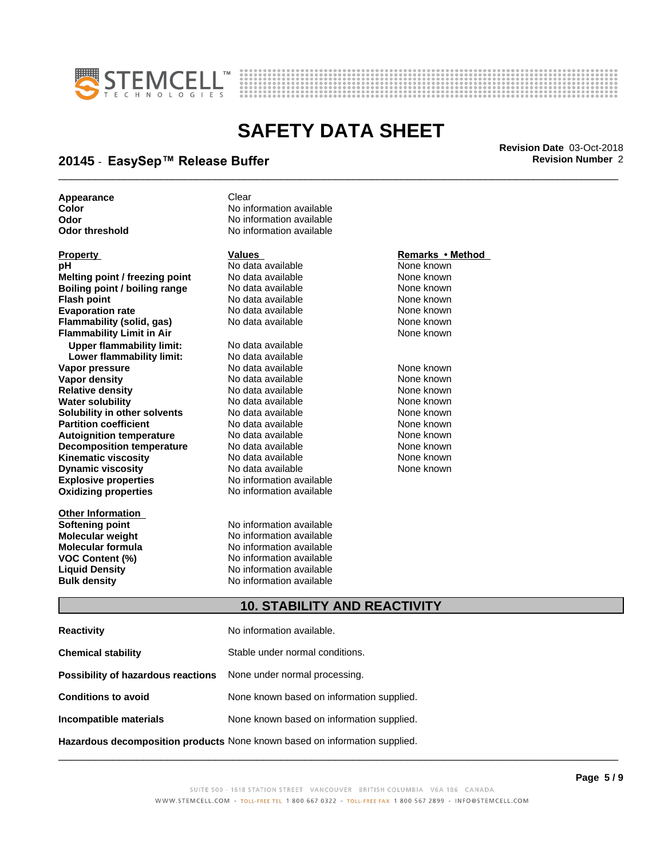



# \_\_\_\_\_\_\_\_\_\_\_\_\_\_\_\_\_\_\_\_\_\_\_\_\_\_\_\_\_\_\_\_\_\_\_\_\_\_\_\_\_\_\_\_\_\_\_\_\_\_\_\_\_\_\_\_\_\_\_\_\_\_\_\_\_\_\_\_\_\_\_\_\_\_\_\_\_\_\_\_\_\_\_\_\_\_\_\_\_\_\_\_\_ **Revision Date** 03-Oct-2018 **20145 ⋅ EasySep™ Release Buffer Review Accord Propose Revision Number** 2

**Appearance** Clear

**Explosive properties** No information available **Oxidizing properties** No information available **pH** No data available None known **Melting point / freezing point** No data available None known **Boiling point / boiling range** No data available **None known**<br>
No data available **None known**<br>
No data available **None known Flash point**<br> **Flash point**<br> **Evaporation rate** No data available None known<br>
None known **Evaporation rate Conservential School and None Conservential Arist Arist Conservential Conservential Arist Mone known**<br> **Flammability (solid. gas)** No data available **None known Flammability (solid, gas)** No data available None known<br> **Flammability Limit in Air** None Known **Flammability Limit in Air Upper flammability limit:** No data available **Lower flammability limit: Vapor pressure No data available and the None known**<br> **Vapor density No data available None known**<br>
No data available **None known Vapor density No data available None known**<br> **Relative density No data available None known**<br>
None known **Relative density No data available None known**<br> **Water solubility No data available None known**<br>
No data available **Water solubility No data available**<br> **Solubility in other solvents** No data available **Solubility in other solvents** No data available **None known**<br> **Partition coefficient** No data available None known **Partition coefficient**<br> **Autoignition temperature** No data available None known<br>
None known **Autoignition temperature No data available None known**<br> **Decomposition temperature** No data available **None known**<br>
None known **Decomposition temperature** No data available None known<br> **Kinematic viscosity** No data available None known **Kinematic viscosity Dynamic viscosity No data available None known** 

**Other Information**

**Color** No information available **Odor** No information available<br> **Odor threshold** Mo information available **No information available** 

**Softening point No information available**<br> **Molecular weight No information available Molecular weight Molecular is a structure of the No information available Molecular formula Molecular System Molecular formula No information available**<br>**VOC Content (%)** No information available **VOC Content (%)** No information available **Liquid Density** No information available **Bulk density** No information available

#### **Property Remarks •Method Values Remarks** •Method

#### **10. STABILITY AND REACTIVITY**

| <b>Reactivity</b>                                                       | No information available.                 |
|-------------------------------------------------------------------------|-------------------------------------------|
| <b>Chemical stability</b>                                               | Stable under normal conditions.           |
| <b>Possibility of hazardous reactions</b> None under normal processing. |                                           |
| <b>Conditions to avoid</b>                                              | None known based on information supplied. |
| Incompatible materials                                                  | None known based on information supplied. |
|                                                                         |                                           |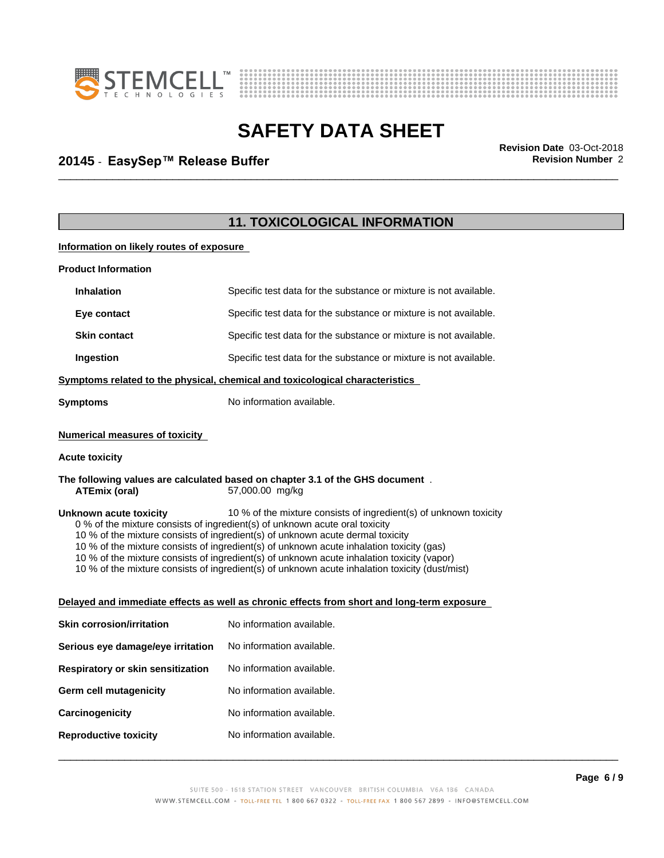



# \_\_\_\_\_\_\_\_\_\_\_\_\_\_\_\_\_\_\_\_\_\_\_\_\_\_\_\_\_\_\_\_\_\_\_\_\_\_\_\_\_\_\_\_\_\_\_\_\_\_\_\_\_\_\_\_\_\_\_\_\_\_\_\_\_\_\_\_\_\_\_\_\_\_\_\_\_\_\_\_\_\_\_\_\_\_\_\_\_\_\_\_\_ **Revision Date** 03-Oct-2018 **20145 ⋅ EasySep™ Release Buffer Review Accord Propose Revision Number** 2

|                                          | <b>11. TOXICOLOGICAL INFORMATION</b>                                                                                                                                                                                                                                                                                                                                                                                                                                                                                           |  |
|------------------------------------------|--------------------------------------------------------------------------------------------------------------------------------------------------------------------------------------------------------------------------------------------------------------------------------------------------------------------------------------------------------------------------------------------------------------------------------------------------------------------------------------------------------------------------------|--|
| Information on likely routes of exposure |                                                                                                                                                                                                                                                                                                                                                                                                                                                                                                                                |  |
| <b>Product Information</b>               |                                                                                                                                                                                                                                                                                                                                                                                                                                                                                                                                |  |
| <b>Inhalation</b>                        | Specific test data for the substance or mixture is not available.                                                                                                                                                                                                                                                                                                                                                                                                                                                              |  |
| Eye contact                              | Specific test data for the substance or mixture is not available.                                                                                                                                                                                                                                                                                                                                                                                                                                                              |  |
| <b>Skin contact</b>                      | Specific test data for the substance or mixture is not available.                                                                                                                                                                                                                                                                                                                                                                                                                                                              |  |
| Ingestion                                | Specific test data for the substance or mixture is not available.                                                                                                                                                                                                                                                                                                                                                                                                                                                              |  |
|                                          | Symptoms related to the physical, chemical and toxicological characteristics                                                                                                                                                                                                                                                                                                                                                                                                                                                   |  |
| <b>Symptoms</b>                          | No information available.                                                                                                                                                                                                                                                                                                                                                                                                                                                                                                      |  |
| <b>Numerical measures of toxicity</b>    |                                                                                                                                                                                                                                                                                                                                                                                                                                                                                                                                |  |
| <b>Acute toxicity</b>                    |                                                                                                                                                                                                                                                                                                                                                                                                                                                                                                                                |  |
| <b>ATEmix (oral)</b>                     | The following values are calculated based on chapter 3.1 of the GHS document.<br>57,000.00 mg/kg                                                                                                                                                                                                                                                                                                                                                                                                                               |  |
| Unknown acute toxicity                   | 10 % of the mixture consists of ingredient(s) of unknown toxicity<br>0 % of the mixture consists of ingredient(s) of unknown acute oral toxicity<br>10 % of the mixture consists of ingredient(s) of unknown acute dermal toxicity<br>10 % of the mixture consists of ingredient(s) of unknown acute inhalation toxicity (gas)<br>10 % of the mixture consists of ingredient(s) of unknown acute inhalation toxicity (vapor)<br>10 % of the mixture consists of ingredient(s) of unknown acute inhalation toxicity (dust/mist) |  |
|                                          | Delayed and immediate effects as well as chronic effects from short and long-term exposure                                                                                                                                                                                                                                                                                                                                                                                                                                     |  |
| <b>Skin corrosion/irritation</b>         | No information available.                                                                                                                                                                                                                                                                                                                                                                                                                                                                                                      |  |
| Serious eye damage/eye irritation        | No information available.                                                                                                                                                                                                                                                                                                                                                                                                                                                                                                      |  |
| Respiratory or skin sensitization        | No information available.                                                                                                                                                                                                                                                                                                                                                                                                                                                                                                      |  |
| <b>Germ cell mutagenicity</b>            | No information available.                                                                                                                                                                                                                                                                                                                                                                                                                                                                                                      |  |
| Carcinogenicity                          | No information available.                                                                                                                                                                                                                                                                                                                                                                                                                                                                                                      |  |
| <b>Reproductive toxicity</b>             | No information available.                                                                                                                                                                                                                                                                                                                                                                                                                                                                                                      |  |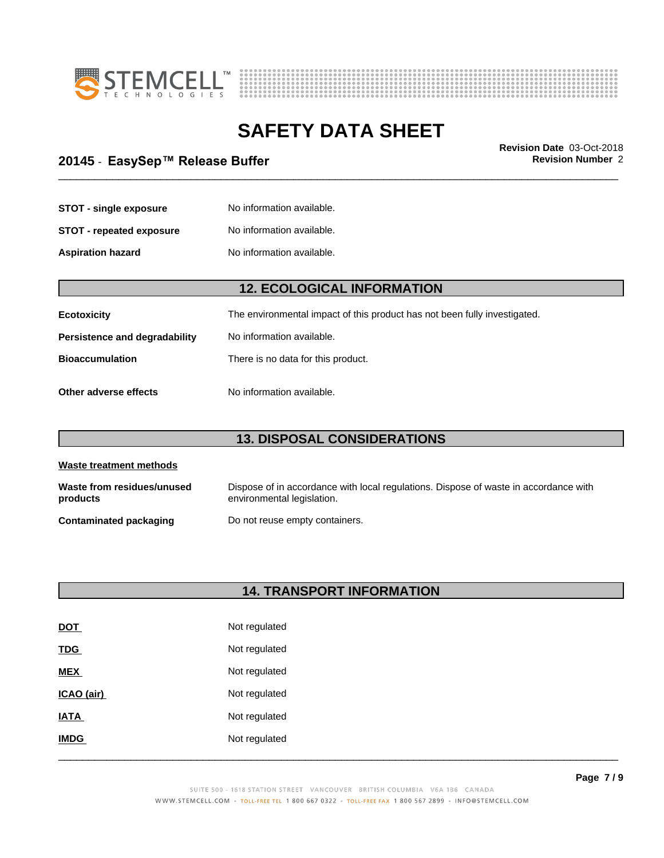



# \_\_\_\_\_\_\_\_\_\_\_\_\_\_\_\_\_\_\_\_\_\_\_\_\_\_\_\_\_\_\_\_\_\_\_\_\_\_\_\_\_\_\_\_\_\_\_\_\_\_\_\_\_\_\_\_\_\_\_\_\_\_\_\_\_\_\_\_\_\_\_\_\_\_\_\_\_\_\_\_\_\_\_\_\_\_\_\_\_\_\_\_\_ **Revision Date** 03-Oct-2018 **20145 ⋅ EasySep™ Release Buffer Review Accord Propose Revision Number** 2

| <b>STOT - single exposure</b> | No information available. |
|-------------------------------|---------------------------|
| STOT - repeated exposure      | No information available. |
| <b>Aspiration hazard</b>      | No information available. |

### **12. ECOLOGICAL INFORMATION**

| Ecotoxicity                          | The environmental impact of this product has not been fully investigated. |
|--------------------------------------|---------------------------------------------------------------------------|
| <b>Persistence and degradability</b> | No information available.                                                 |
| <b>Bioaccumulation</b>               | There is no data for this product.                                        |
| Other adverse effects                | No information available.                                                 |

### **13. DISPOSAL CONSIDERATIONS**

| Waste treatment methods                |                                                                                                                    |  |
|----------------------------------------|--------------------------------------------------------------------------------------------------------------------|--|
| Waste from residues/unused<br>products | Dispose of in accordance with local regulations. Dispose of waste in accordance with<br>environmental legislation. |  |
| <b>Contaminated packaging</b>          | Do not reuse empty containers.                                                                                     |  |

#### **14. TRANSPORT INFORMATION**

| <b>DOT</b>  | Not regulated |
|-------------|---------------|
| <b>TDG</b>  | Not regulated |
| <b>MEX</b>  | Not regulated |
| ICAO (air)  | Not regulated |
| <b>IATA</b> | Not regulated |
| <b>IMDG</b> | Not regulated |
|             |               |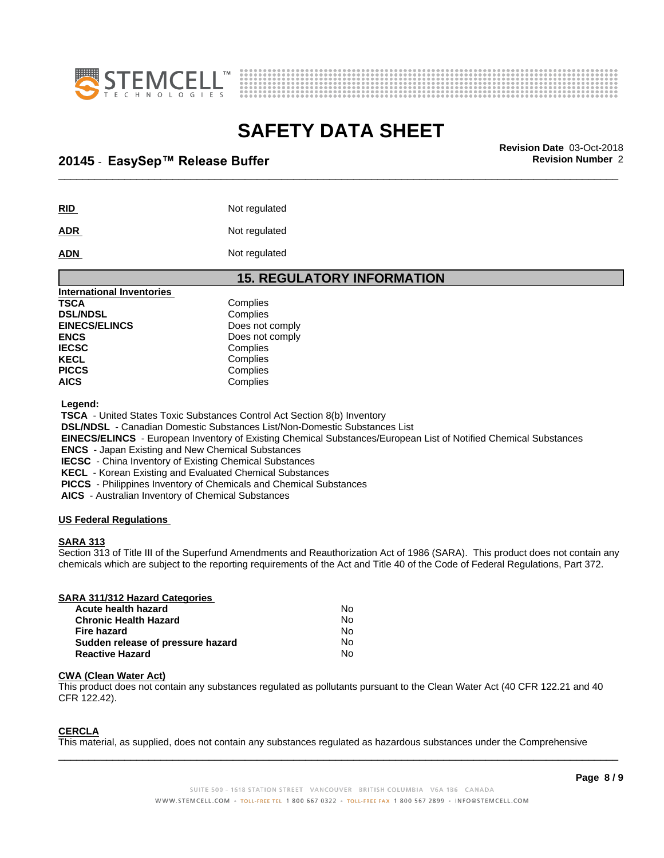



# \_\_\_\_\_\_\_\_\_\_\_\_\_\_\_\_\_\_\_\_\_\_\_\_\_\_\_\_\_\_\_\_\_\_\_\_\_\_\_\_\_\_\_\_\_\_\_\_\_\_\_\_\_\_\_\_\_\_\_\_\_\_\_\_\_\_\_\_\_\_\_\_\_\_\_\_\_\_\_\_\_\_\_\_\_\_\_\_\_\_\_\_\_ **Revision Date** 03-Oct-2018 **20145 ⋅ EasySep™ Release Buffer Review Accord Propose Revision Number** 2

| <b>RID</b> | Not regulated |
|------------|---------------|
|            |               |

**ADR** Not regulated

#### **ADN** Not regulated

| <b>15. REGULATORY INFORMATION</b> |
|-----------------------------------|
|                                   |
| Complies                          |
| Complies                          |
| Does not comply                   |
| Does not comply                   |
| Complies                          |
| Complies                          |
| Complies                          |
| Complies                          |
|                                   |

 **Legend:**

 **TSCA** - United States Toxic Substances Control Act Section 8(b) Inventory

 **DSL/NDSL** - Canadian Domestic Substances List/Non-Domestic Substances List

 **EINECS/ELINCS** - European Inventory of Existing Chemical Substances/European List of Notified Chemical Substances

 **ENCS** - Japan Existing and New Chemical Substances

 **IECSC** - China Inventory of Existing Chemical Substances

 **KECL** - Korean Existing and Evaluated Chemical Substances

 **PICCS** - Philippines Inventory of Chemicals and Chemical Substances

 **AICS** - Australian Inventory of Chemical Substances

#### **US Federal Regulations**

#### **SARA 313**

Section 313 of Title III of the Superfund Amendments and Reauthorization Act of 1986 (SARA). This product does not contain any chemicals which are subject to the reporting requirements of the Act and Title 40 of the Code of Federal Regulations, Part 372.

#### **SARA 311/312 Hazard Categories**

| Acute health hazard               | No |
|-----------------------------------|----|
| <b>Chronic Health Hazard</b>      | No |
| Fire hazard                       | N٥ |
| Sudden release of pressure hazard | No |
| <b>Reactive Hazard</b>            | N٥ |

#### **CWA (Clean WaterAct)**

This product does not contain any substances regulated as pollutants pursuant to the Clean Water Act (40 CFR 122.21 and 40 CFR 122.42).

#### **CERCLA**

This material, as supplied, does not contain any substances regulated as hazardous substances under the Comprehensive